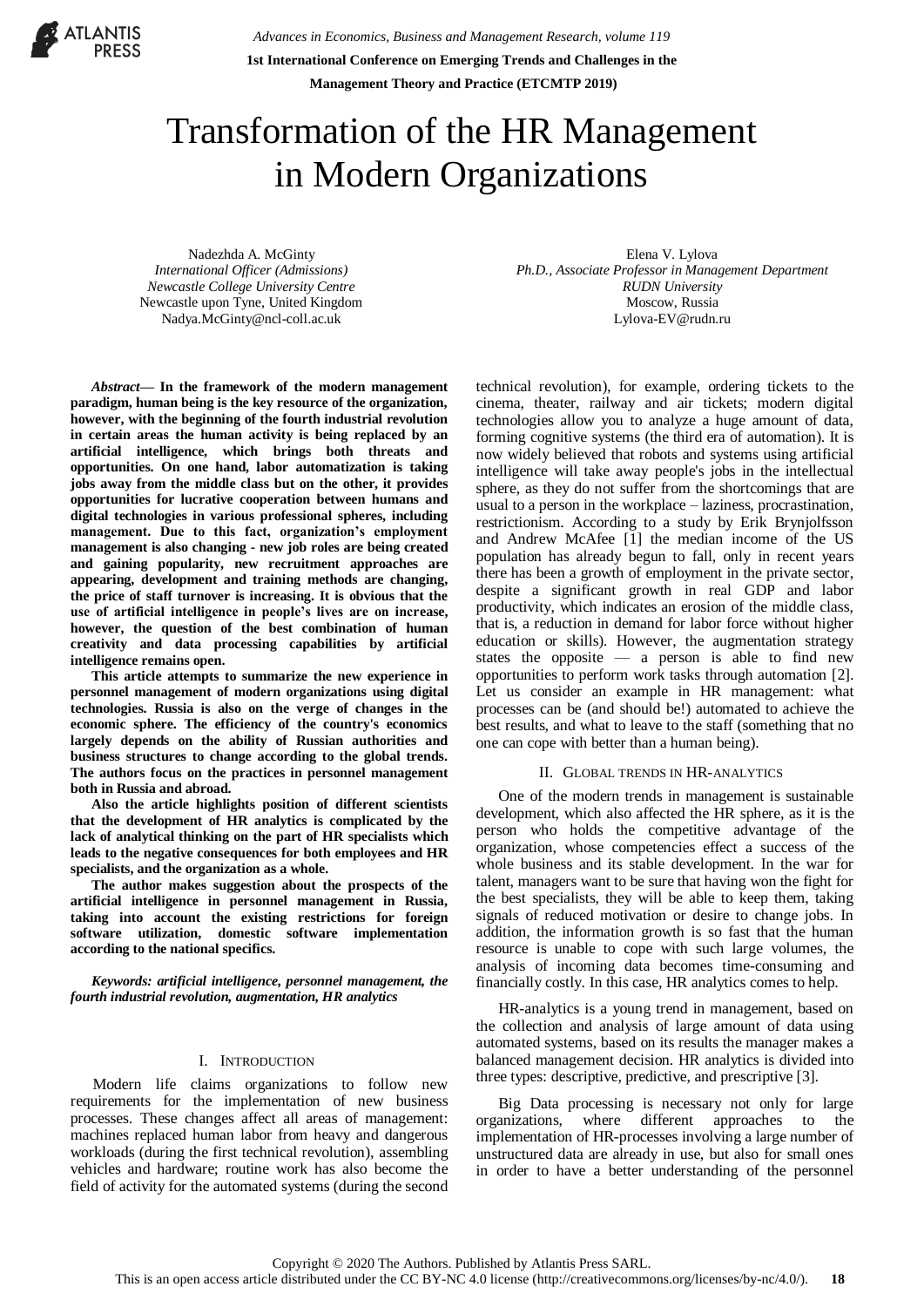**ATLANTIS** 

*Advances in Economics, Business and Management Research, volume 119* **1st International Conference on Emerging Trends and Challenges in the Management Theory and Practice (ETCMTP 2019)**

# Transformation of the HR Management in Modern Organizations

Nadezhda A. McGinty *International Officer (Admissions) Newcastle College University Centre* Newcastle upon Tyne, United Kingdom Nadya.McGinty@ncl-coll.ac.uk

*Abstract***— In the framework of the modern management paradigm, human being is the key resource of the organization, however, with the beginning of the fourth industrial revolution in certain areas the human activity is being replaced by an artificial intelligence, which brings both threats and opportunities. On one hand, labor automatization is taking jobs away from the middle class but on the other, it provides opportunities for lucrative cooperation between humans and digital technologies in various professional spheres, including management. Due to this fact, organization's employment management is also changing - new job roles are being created and gaining popularity, new recruitment approaches are appearing, development and training methods are changing, the price of staff turnover is increasing. It is obvious that the use of artificial intelligence in people's lives are on increase, however, the question of the best combination of human creativity and data processing capabilities by artificial intelligence remains open.**

**This article attempts to summarize the new experience in personnel management of modern organizations using digital technologies. Russia is also on the verge of changes in the economic sphere. The efficiency of the country's economics largely depends on the ability of Russian authorities and business structures to change according to the global trends. The authors focus on the practices in personnel management both in Russia and abroad.**

**Also the article highlights position of different scientists that the development of HR analytics is complicated by the lack of analytical thinking on the part of HR specialists which leads to the negative consequences for both employees and HR specialists, and the organization as a whole.**

**The author makes suggestion about the prospects of the artificial intelligence in personnel management in Russia, taking into account the existing restrictions for foreign software utilization, domestic software implementation according to the national specifics.**

*Keywords: artificial intelligence, personnel management, the fourth industrial revolution, augmentation, HR analytics*

# I. INTRODUCTION

Modern life claims organizations to follow new requirements for the implementation of new business processes. These changes affect all areas of management: machines replaced human labor from heavy and dangerous workloads (during the first technical revolution), assembling vehicles and hardware; routine work has also become the field of activity for the automated systems (during the second

Elena V. Lylova *Ph.D., Associate Professor in Management Department RUDN University* Moscow, Russia [Lylova-EV@rudn.ru](mailto:Lylova-EV@rudn.ru)

technical revolution), for example, ordering tickets to the cinema, theater, railway and air tickets; modern digital technologies allow you to analyze a huge amount of data, forming cognitive systems (the third era of automation). It is now widely believed that robots and systems using artificial intelligence will take away people's jobs in the intellectual sphere, as they do not suffer from the shortcomings that are usual to a person in the workplace – laziness, procrastination, restrictionism. According to a study by Erik Brynjolfsson and Andrew McAfee [1] the median income of the US population has already begun to fall, only in recent years there has been a growth of employment in the private sector, despite a significant growth in real GDP and labor productivity, which indicates an erosion of the middle class, that is, a reduction in demand for labor force without higher education or skills). However, the augmentation strategy states the opposite  $-$  a person is able to find new opportunities to perform work tasks through automation [2]. Let us consider an example in HR management: what processes can be (and should be!) automated to achieve the best results, and what to leave to the staff (something that no one can cope with better than a human being).

#### II. GLOBAL TRENDS IN HR-ANALYTICS

One of the modern trends in management is sustainable development, which also affected the HR sphere, as it is the person who holds the competitive advantage of the organization, whose competencies effect a success of the whole business and its stable development. In the war for talent, managers want to be sure that having won the fight for the best specialists, they will be able to keep them, taking signals of reduced motivation or desire to change jobs. In addition, the information growth is so fast that the human resource is unable to cope with such large volumes, the analysis of incoming data becomes time-consuming and financially costly. In this case, HR analytics comes to help.

HR-analytics is a young trend in management, based on the collection and analysis of large amount of data using automated systems, based on its results the manager makes a balanced management decision. HR analytics is divided into three types: descriptive, predictive, and prescriptive [3].

Big Data processing is necessary not only for large organizations, where different approaches to the implementation of HR-processes involving a large number of unstructured data are already in use, but also for small ones in order to have a better understanding of the personnel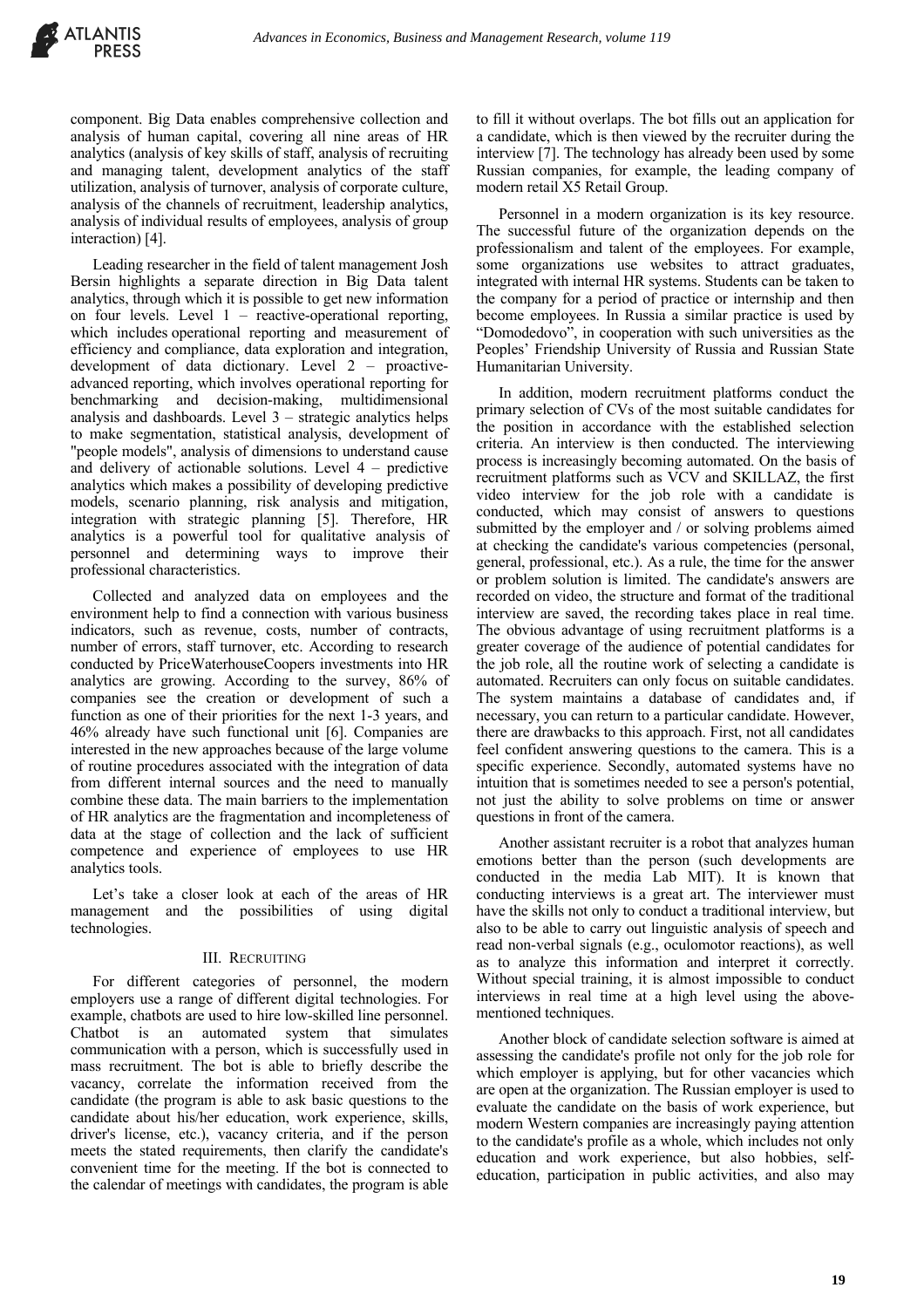component. Big Data enables comprehensive collection and analysis of human capital, covering all nine areas of HR analytics (analysis of key skills of staff, analysis of recruiting and managing talent, development analytics of the staff utilization, analysis of turnover, analysis of corporate culture, analysis of the channels of recruitment, leadership analytics, analysis of individual results of employees, analysis of group interaction) [4].

Leading researcher in the field of talent management Josh Bersin highlights a separate direction in Big Data talent analytics, through which it is possible to get new information on four levels. Level  $1$  – reactive-operational reporting, which includes operational reporting and measurement of efficiency and compliance, data exploration and integration, development of data dictionary. Level 2 – proactiveadvanced reporting, which involves operational reporting for benchmarking and decision-making, multidimensional analysis and dashboards. Level  $3$  – strategic analytics helps to make segmentation, statistical analysis, development of "people models", analysis of dimensions to understand cause and delivery of actionable solutions. Level  $4$  – predictive analytics which makes a possibility of developing predictive models, scenario planning, risk analysis and mitigation, integration with strategic planning [5]. Therefore, HR analytics is a powerful tool for qualitative analysis of personnel and determining ways to improve their professional characteristics.

Collected and analyzed data on employees and the environment help to find a connection with various business indicators, such as revenue, costs, number of contracts, number of errors, staff turnover, etc. According to research conducted by PriceWaterhouseCoopers investments into HR analytics are growing. According to the survey, 86% of companies see the creation or development of such a function as one of their priorities for the next 1-3 years, and 46% already have such functional unit [6]. Companies are interested in the new approaches because of the large volume of routine procedures associated with the integration of data from different internal sources and the need to manually combine these data. The main barriers to the implementation of HR analytics are the fragmentation and incompleteness of data at the stage of collection and the lack of sufficient competence and experience of employees to use HR analytics tools.

Let's take a closer look at each of the areas of HR management and the possibilities of using digital technologies.

# III. RECRUITING

For different categories of personnel, the modern employers use a range of different digital technologies. For example, chatbots are used to hire low-skilled line personnel. Chatbot is an automated system that simulates communication with a person, which is successfully used in mass recruitment. The bot is able to briefly describe the vacancy, correlate the information received from the candidate (the program is able to ask basic questions to the candidate about his/her education, work experience, skills, driver's license, etc.), vacancy criteria, and if the person meets the stated requirements, then clarify the candidate's convenient time for the meeting. If the bot is connected to the calendar of meetings with candidates, the program is able to fill it without overlaps. The bot fills out an application for a candidate, which is then viewed by the recruiter during the interview [7]. The technology has already been used by some Russian companies, for example, the leading company of modern retail X5 Retail Group.

Personnel in a modern organization is its key resource. The successful future of the organization depends on the professionalism and talent of the employees. For example, some organizations use websites to attract graduates, integrated with internal HR systems. Students can be taken to the company for a period of practice or internship and then become employees. In Russia a similar practice is used by "Domodedovo", in cooperation with such universities as the Peoples' Friendship University of Russia and Russian State Humanitarian University.

In addition, modern recruitment platforms conduct the primary selection of CVs of the most suitable candidates for the position in accordance with the established selection criteria. An interview is then conducted. The interviewing process is increasingly becoming automated. On the basis of recruitment platforms such as VCV and SKILLAZ, the first video interview for the job role with a candidate is conducted, which may consist of answers to questions submitted by the employer and / or solving problems aimed at checking the candidate's various competencies (personal, general, professional, etc.). As a rule, the time for the answer or problem solution is limited. The candidate's answers are recorded on video, the structure and format of the traditional interview are saved, the recording takes place in real time. The obvious advantage of using recruitment platforms is a greater coverage of the audience of potential candidates for the job role, all the routine work of selecting a candidate is automated. Recruiters can only focus on suitable candidates. The system maintains a database of candidates and, if necessary, you can return to a particular candidate. However, there are drawbacks to this approach. First, not all candidates feel confident answering questions to the camera. This is a specific experience. Secondly, automated systems have no intuition that is sometimes needed to see a person's potential, not just the ability to solve problems on time or answer questions in front of the camera.

Another assistant recruiter is a robot that analyzes human emotions better than the person (such developments are conducted in the media Lab MIT). It is known that conducting interviews is a great art. The interviewer must have the skills not only to conduct a traditional interview, but also to be able to carry out linguistic analysis of speech and read non-verbal signals (e.g., oculomotor reactions), as well as to analyze this information and interpret it correctly. Without special training, it is almost impossible to conduct interviews in real time at a high level using the abovementioned techniques.

Another block of candidate selection software is aimed at assessing the candidate's profile not only for the job role for which employer is applying, but for other vacancies which are open at the organization. The Russian employer is used to evaluate the candidate on the basis of work experience, but modern Western companies are increasingly paying attention to the candidate's profile as a whole, which includes not only education and work experience, but also hobbies, selfeducation, participation in public activities, and also may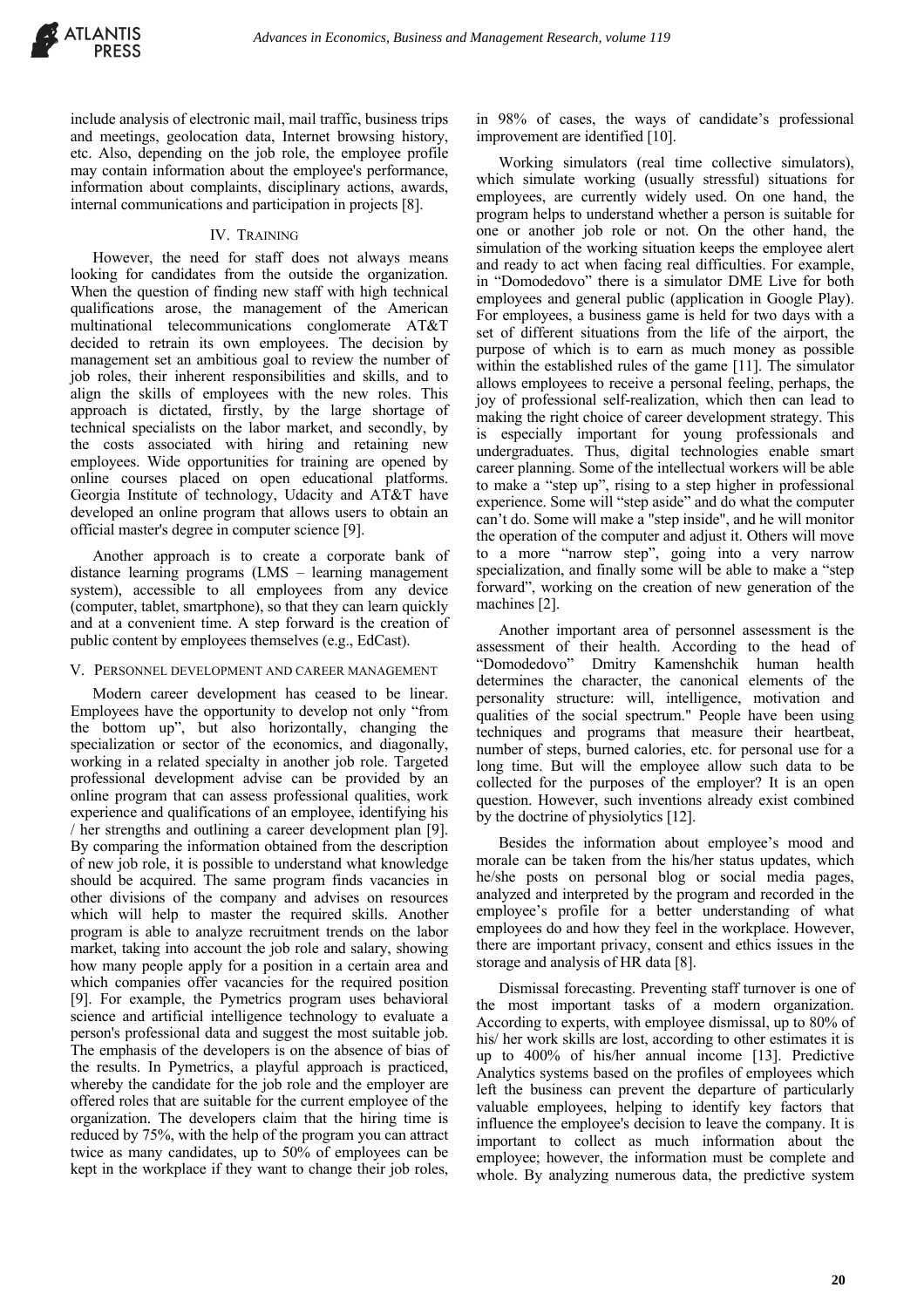

include analysis of electronic mail, mail traffic, business trips and meetings, geolocation data, Internet browsing history, etc. Also, depending on the job role, the employee profile may contain information about the employee's performance, information about complaints, disciplinary actions, awards, internal communications and participation in projects [8].

#### IV. TRAINING

However, the need for staff does not always means looking for candidates from the outside the organization. When the question of finding new staff with high technical qualifications arose, the management of the American multinational telecommunications conglomerate AT&T decided to retrain its own employees. The decision by management set an ambitious goal to review the number of job roles, their inherent responsibilities and skills, and to align the skills of employees with the new roles. This approach is dictated, firstly, by the large shortage of technical specialists on the labor market, and secondly, by the costs associated with hiring and retaining new employees. Wide opportunities for training are opened by online courses placed on open educational platforms. Georgia Institute of technology, Udacity and AT&T have developed an online program that allows users to obtain an official master's degree in computer science [9].

Another approach is to create a corporate bank of distance learning programs (LMS – learning management system), accessible to all employees from any device (computer, tablet, smartphone), so that they can learn quickly and at a convenient time. A step forward is the creation of public content by employees themselves (e.g., EdCast).

### V. PERSONNEL DEVELOPMENT AND CAREER MANAGEMENT

Modern career development has ceased to be linear. Employees have the opportunity to develop not only "from the bottom up", but also horizontally, changing the specialization or sector of the economics, and diagonally, working in a related specialty in another job role. Targeted professional development advise can be provided by an online program that can assess professional qualities, work experience and qualifications of an employee, identifying his / her strengths and outlining a career development plan [9]. By comparing the information obtained from the description of new job role, it is possible to understand what knowledge should be acquired. The same program finds vacancies in other divisions of the company and advises on resources which will help to master the required skills. Another program is able to analyze recruitment trends on the labor market, taking into account the job role and salary, showing how many people apply for a position in a certain area and which companies offer vacancies for the required position [9]. For example, the Pymetrics program uses behavioral science and artificial intelligence technology to evaluate a person's professional data and suggest the most suitable job. The emphasis of the developers is on the absence of bias of the results. In Pymetrics, a playful approach is practiced, whereby the candidate for the job role and the employer are offered roles that are suitable for the current employee of the organization. The developers claim that the hiring time is reduced by 75%, with the help of the program you can attract twice as many candidates, up to 50% of employees can be kept in the workplace if they want to change their job roles,

in 98% of cases, the ways of candidate's professional improvement are identified [10].

Working simulators (real time collective simulators), which simulate working (usually stressful) situations for employees, are currently widely used. On one hand, the program helps to understand whether a person is suitable for one or another job role or not. On the other hand, the simulation of the working situation keeps the employee alert and ready to act when facing real difficulties. For example, in "Domodedovo" there is a simulator DME Live for both employees and general public (application in Google Play). For employees, a business game is held for two days with a set of different situations from the life of the airport, the purpose of which is to earn as much money as possible within the established rules of the game [11]. The simulator allows employees to receive a personal feeling, perhaps, the joy of professional self-realization, which then can lead to making the right choice of career development strategy. This is especially important for young professionals and undergraduates. Thus, digital technologies enable smart career planning. Some of the intellectual workers will be able to make a "step up", rising to a step higher in professional experience. Some will "step aside" and do what the computer can't do. Some will make a "step inside", and he will monitor the operation of the computer and adjust it. Others will move to a more "narrow step", going into a very narrow specialization, and finally some will be able to make a "step forward", working on the creation of new generation of the machines [2].

Another important area of personnel assessment is the assessment of their health. According to the head of "Domodedovo" Dmitry Kamenshchik human health determines the character, the canonical elements of the personality structure: will, intelligence, motivation and qualities of the social spectrum." People have been using techniques and programs that measure their heartbeat, number of steps, burned calories, etc. for personal use for a long time. But will the employee allow such data to be collected for the purposes of the employer? It is an open question. However, such inventions already exist combined by the doctrine of physiolytics [12].

Besides the information about employee's mood and morale can be taken from the his/her status updates, which he/she posts on personal blog or social media pages, analyzed and interpreted by the program and recorded in the employee's profile for a better understanding of what employees do and how they feel in the workplace. However, there are important privacy, consent and ethics issues in the storage and analysis of HR data [8].

Dismissal forecasting. Preventing staff turnover is one of the most important tasks of a modern organization. According to experts, with employee dismissal, up to 80% of his/ her work skills are lost, according to other estimates it is up to 400% of his/her annual income [13]. Predictive Analytics systems based on the profiles of employees which left the business can prevent the departure of particularly valuable employees, helping to identify key factors that influence the employee's decision to leave the company. It is important to collect as much information about the employee; however, the information must be complete and whole. By analyzing numerous data, the predictive system